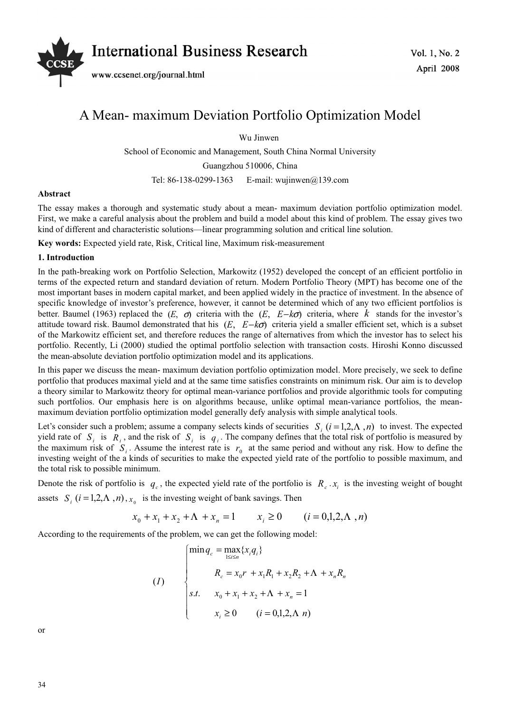

# A Mean- maximum Deviation Portfolio Optimization Model

Wu Jinwen

School of Economic and Management, South China Normal University

Guangzhou 510006, China

Tel: 86-138-0299-1363 E-mail: wujinwen@139.com

### **Abstract**

The essay makes a thorough and systematic study about a mean- maximum deviation portfolio optimization model. First, we make a careful analysis about the problem and build a model about this kind of problem. The essay gives two kind of different and characteristic solutions—linear programming solution and critical line solution.

**Key words:** Expected yield rate, Risk, Critical line, Maximum risk-measurement

## **1. Introduction**

In the path-breaking work on Portfolio Selection, Markowitz (1952) developed the concept of an efficient portfolio in terms of the expected return and standard deviation of return. Modern Portfolio Theory (MPT) has become one of the most important bases in modern capital market, and been applied widely in the practice of investment. In the absence of specific knowledge of investor's preference, however, it cannot be determined which of any two efficient portfolios is better. Baumel (1963) replaced the  $(E, \sigma)$  criteria with the  $(E, E-k\sigma)$  criteria, where *k* stands for the investor's attitude toward risk. Baumol demonstrated that his (*E*, *E*−*k*σ) criteria yield a smaller efficient set, which is a subset of the Markowitz efficient set, and therefore reduces the range of alternatives from which the investor has to select his portfolio. Recently, Li (2000) studied the optimal portfolio selection with transaction costs. Hiroshi Konno discussed the mean-absolute deviation portfolio optimization model and its applications.

In this paper we discuss the mean- maximum deviation portfolio optimization model. More precisely, we seek to define portfolio that produces maximal yield and at the same time satisfies constraints on minimum risk. Our aim is to develop a theory similar to Markowitz theory for optimal mean-variance portfolios and provide algorithmic tools for computing such portfolios. Our emphasis here is on algorithms because, unlike optimal mean-variance portfolios, the meanmaximum deviation portfolio optimization model generally defy analysis with simple analytical tools.

Let's consider such a problem; assume a company selects kinds of securities  $S_i$  ( $i = 1, 2, \Lambda$ , n) to invest. The expected yield rate of  $S_i$  is  $R_i$ , and the risk of  $S_i$  is  $q_i$ . The company defines that the total risk of portfolio is measured by the maximum risk of  $S_i$ . Assume the interest rate is  $r_0$  at the same period and without any risk. How to define the investing weight of the a kinds of securities to make the expected yield rate of the portfolio to possible maximum, and the total risk to possible minimum.

Denote the risk of portfolio is  $q_c$ , the expected yield rate of the portfolio is  $R_c \cdot x_i$  is the investing weight of bought assets  $S_i$   $(i = 1, 2, \Lambda, n)$ ,  $x_0$  is the investing weight of bank savings. Then

$$
x_0 + x_1 + x_2 + \Lambda + x_n = 1 \qquad x_i \ge 0 \qquad (i = 0, 1, 2, \Lambda, n)
$$

According to the requirements of the problem, we can get the following model:

(1)  
\n
$$
\begin{cases}\n\min q_c = \max_{1 \le i \le n} \{x_i q_i\} \\
R_c = x_0 r + x_1 R_1 + x_2 R_2 + \Lambda + x_n R_n \\
s.t. \quad x_0 + x_1 + x_2 + \Lambda + x_n = 1 \\
x_i \ge 0 \quad (i = 0, 1, 2, \Lambda \ n)\n\end{cases}
$$

or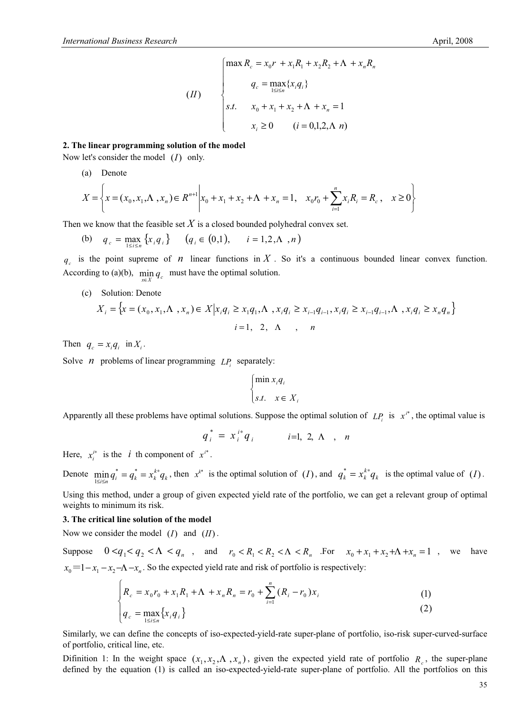$$
(II) \qquad \begin{cases} \max R_c = x_0 r + x_1 R_1 + x_2 R_2 + \Lambda + x_n R_n \\ q_c = \max_{1 \le i \le n} \{x_i q_i\} \\ s.t. \qquad x_0 + x_1 + x_2 + \Lambda + x_n = 1 \\ x_i \ge 0 \qquad (i = 0, 1, 2, \Lambda \ n) \end{cases}
$$

#### **2. The linear programming solution of the model**

Now let's consider the model (*I*) only.

(a) Denote

$$
X = \left\{ x = (x_0, x_1, \Lambda, x_n) \in R^{n+1} \middle| x_0 + x_1 + x_2 + \Lambda + x_n = 1, \quad x_0 r_0 + \sum_{i=1}^n x_i R_i = R_c, \quad x \ge 0 \right\}
$$

Then we know that the feasible set  $X$  is a closed bounded polyhedral convex set.

(b) 
$$
q_c = \max_{1 \le i \le n} \{x_i q_i\}
$$
  $(q_i \in (0,1), \quad i = 1,2,\Lambda, n)$ 

 $q_e$  is the point supreme of *n* linear functions in X. So it's a continuous bounded linear convex function. According to (a)(b),  $\min_{x \in X} q_c$  *must have the optimal solution.* 

(c) Solution: Denote

$$
X_i = \left\{ x = (x_0, x_1, \Lambda, x_n) \in X \middle| x_i q_i \ge x_1 q_1, \Lambda, x_i q_i \ge x_{i-1} q_{i-1}, x_i q_i \ge x_{i-1} q_{i-1}, \Lambda, x_i q_i \ge x_n q_n \right\}
$$
  

$$
i = 1, 2, \Lambda, n
$$

Then  $q_c = x_i q_i$  in  $X_i$ .

Solve *n* problems of linear programming  $LP_i$  separately:

$$
\begin{cases} \min x_i q_i \\ s.t. \quad x \in X_i \end{cases}
$$

Apparently all these problems have optimal solutions. Suppose the optimal solution of  $LP_i$  is  $x^{i^*}$ , the optimal value is

$$
q_i^* = x_i^{i*} q_i \qquad i=1, 2, \Lambda \quad , \quad n
$$

Here,  $x_i^{i*}$  is the *i* th component of  $x^{i*}$ .

Denote  $\min_{1 \le i \le n} q_i^* = q_k^{*} = x_k^{k*} q_k$ , then  $x^{k*}$  is the optimal solution of  $(I)$ , and  $q_k^* = x_k^{k*} q_k$  is the optimal value of  $(I)$ .

Using this method, under a group of given expected yield rate of the portfolio, we can get a relevant group of optimal weights to minimum its risk.

## **3. The critical line solution of the model**

Now we consider the model (*I*) and (*II*) .

Suppose  $0 < q_1 < q_2 < \Lambda < q_n$ , and  $r_0 < R_1 < R_2 < \Lambda < R_n$ . For  $x_0 + x_1 + x_2 + \Lambda + x_n = 1$ , we have  $x_0 = 1 - x_1 - x_2 - \Lambda - x_n$ . So the expected yield rate and risk of portfolio is respectively:

$$
\begin{cases}\nR_c = x_0 r_0 + x_1 R_1 + \Lambda + x_n R_n = r_0 + \sum_{i=1}^n (R_i - r_0) x_i\n\end{cases}
$$
\n(1)

$$
q_c = \max_{1 \le i \le n} \{x_i q_i\} \tag{2}
$$

Similarly, we can define the concepts of iso-expected-yield-rate super-plane of portfolio, iso-risk super-curved-surface of portfolio, critical line, etc.

Difinition 1: In the weight space  $(x_1, x_2, \Lambda, x_n)$ , given the expected yield rate of portfolio  $R_c$ , the super-plane defined by the equation (1) is called an iso-expected-yield-rate super-plane of portfolio. All the portfolios on this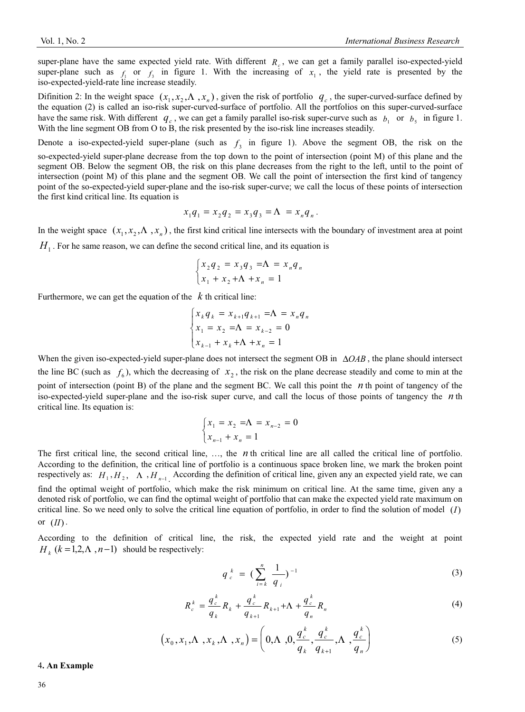super-plane have the same expected yield rate. With different  $R_c$ , we can get a family parallel iso-expected-yield super-plane such as  $f_1$  or  $f_2$  in figure 1. With the increasing of  $x_1$ , the yield rate is presented by the iso-expected-yield-rate line increase steadily.

Difinition 2: In the weight space  $(x_1, x_2, \Lambda, x_n)$ , given the risk of portfolio  $q_c$ , the super-curved-surface defined by the equation (2) is called an iso-risk super-curved-surface of portfolio. All the portfolios on this super-curved-surface have the same risk. With different  $q_c$ , we can get a family parallel iso-risk super-curve such as  $b_1$  or  $b_5$  in figure 1. With the line segment OB from O to B, the risk presented by the iso-risk line increases steadily.

Denote a iso-expected-yield super-plane (such as  $f<sub>3</sub>$  in figure 1). Above the segment OB, the risk on the so-expected-yield super-plane decrease from the top down to the point of intersection (point M) of this plane and the segment OB. Below the segment OB, the risk on this plane decreases from the right to the left, until to the point of intersection (point M) of this plane and the segment OB. We call the point of intersection the first kind of tangency point of the so-expected-yield super-plane and the iso-risk super-curve; we call the locus of these points of intersection the first kind critical line. Its equation is

$$
x_1 q_1 = x_2 q_2 = x_3 q_3 = \Lambda = x_n q_n.
$$

In the weight space  $(x_1, x_2, \Lambda, x_n)$ , the first kind critical line intersects with the boundary of investment area at point

 $H<sub>1</sub>$ . For he same reason, we can define the second critical line, and its equation is

$$
\begin{cases} x_2 q_2 = x_3 q_3 = \Lambda = x_n q_n \\ x_1 + x_2 + \Lambda + x_n = 1 \end{cases}
$$

Furthermore, we can get the equation of the *k* th critical line:

$$
\begin{cases} x_k q_k = x_{k+1} q_{k+1} = \Lambda = x_n q_n \\ x_1 = x_2 = \Lambda = x_{k-2} = 0 \\ x_{k-1} + x_k + \Lambda + x_n = 1 \end{cases}
$$

When the given iso-expected-yield super-plane does not intersect the segment OB in ∆*OAB*, the plane should intersect the line BC (such as  $f_6$ ), which the decreasing of  $x_2$ , the risk on the plane decrease steadily and come to min at the point of intersection (point B) of the plane and the segment BC. We call this point the *n* th point of tangency of the iso-expected-yield super-plane and the iso-risk super curve, and call the locus of those points of tangency the *n* th critical line. Its equation is:

$$
\begin{cases} x_1 = x_2 = \Lambda = x_{n-2} = 0\\ x_{n-1} + x_n = 1 \end{cases}
$$

The first critical line, the second critical line, …, the *n* th critical line are all called the critical line of portfolio. According to the definition, the critical line of portfolio is a continuous space broken line, we mark the broken point respectively as:  $H_1, H_2, \Lambda, H_{n-1}$  According the definition of critical line, given any an expected yield rate, we can find the optimal weight of portfolio, which make the risk minimum on critical line. At the same time, given any a denoted risk of portfolio, we can find the optimal weight of portfolio that can make the expected yield rate maximum on critical line. So we need only to solve the critical line equation of portfolio, in order to find the solution of model (*I*) or  $(II)$ .

According to the definition of critical line, the risk, the expected yield rate and the weight at point  $H_k$  ( $k = 1,2,\Lambda$ ,  $n-1$ ) should be respectively:

$$
q_c^{\ k} = (\sum_{i=k}^n \frac{1}{q_i})^{-1} \tag{3}
$$

$$
R_c^{\,k} = \frac{q_c^{\,k}}{q_k} R_k + \frac{q_c^{\,k}}{q_{k+1}} R_{k+1} + \Lambda + \frac{q_c^{\,k}}{q_n} R_n \tag{4}
$$

$$
(x_0, x_1, \Lambda, x_k, \Lambda, x_n) = \left(0, \Lambda, 0, \frac{q_c^k}{q_k}, \frac{q_c^k}{q_{k+1}}, \Lambda, \frac{q_c^k}{q_n}\right)
$$
(5)

#### 4**. An Example**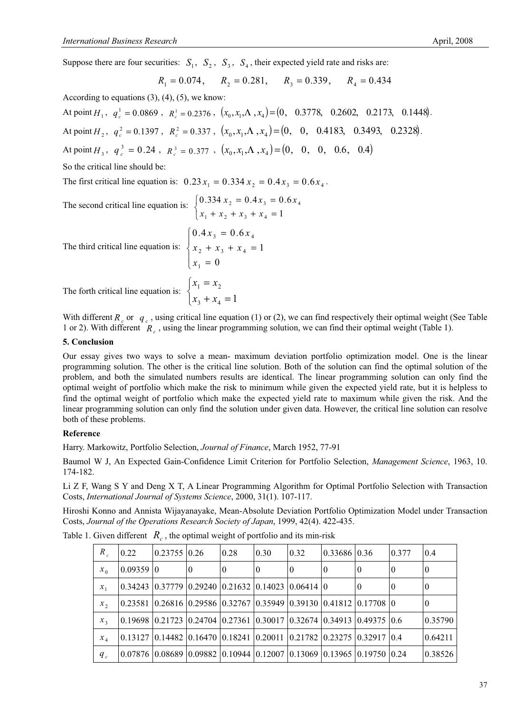Suppose there are four securities:  $S_1$ ,  $S_2$ ,  $S_3$ ,  $S_4$ , their expected yield rate and risks are:

 $R_1 = 0.074$ ,  $R_2 = 0.281$ ,  $R_3 = 0.339$ ,  $R_4 = 0.434$ 

According to equations  $(3)$ ,  $(4)$ ,  $(5)$ , we know:

At point *H*<sub>1</sub>,  $q_e^1 = 0.0869$ ,  $R_e^1 = 0.2376$ ,  $(x_0, x_1, \Lambda, x_4) = (0, 0.3778, 0.2602, 0.2173, 0.1448)$ . At point *H*<sub>2</sub>,  $q_1^2 = 0.1397$ ,  $R_1^2 = 0.337$ ,  $(x_0, x_1, \Lambda, x_4) = (0, 0, 0.4183, 0.3493, 0.2328)$ . At point *H*<sub>3</sub>,  $q_c^3 = 0.24$ ,  $R_c^3 = 0.377$ ,  $(x_0, x_1, \Lambda, x_4) = (0, 0, 0, 0.6, 0.4)$ So the critical line should be: The first critical line equation is:  $0.23 x_1 = 0.334 x_2 = 0.4 x_3 = 0.6 x_4$ .

The second critical line equation is:  $\mathfrak{r}$  $\big\{$  $\left| \right|$  $+ x_2 + x_3 + x_4 =$  $= 0.4 x_3 =$ 1  $0.334 x_2 = 0.4 x_3 = 0.6$  $1 + \lambda_2 + \lambda_3 + \lambda_4$  $2 - 0.7x_3 - 0.0x_4$  $x_1 + x_2 + x_3 + x$  $x_2 = 0.4x_3 = 0.6x$ 

 $x_1 = 0$ 

 $+ x_4 =$ 

 $\overline{\mathcal{L}}$ 

The third critical line equation is: 
$$
\begin{cases} 0.4x_3 = 0.6x_4 \\ x_2 + x_3 + x_4 = 1 \\ x_1 = 0 \end{cases}
$$

The forth critical line equation is:  $\left\{ \right.$  $\begin{array}{c} \hline \end{array}$ =  $x_3 + x_4 = 1$  $1 - \frac{\lambda_2}{2}$  $x_3 + x$  $x_1 = x$ 

With different  $R_c$  or  $q_c$ , using critical line equation (1) or (2), we can find respectively their optimal weight (See Table 1 or 2). With different *Rc* , using the linear programming solution, we can find their optimal weight (Table 1).

## **5. Conclusion**

Our essay gives two ways to solve a mean- maximum deviation portfolio optimization model. One is the linear programming solution. The other is the critical line solution. Both of the solution can find the optimal solution of the problem, and both the simulated numbers results are identical. The linear programming solution can only find the optimal weight of portfolio which make the risk to minimum while given the expected yield rate, but it is helpless to find the optimal weight of portfolio which make the expected yield rate to maximum while given the risk. And the linear programming solution can only find the solution under given data. However, the critical line solution can resolve both of these problems.

# **Reference**

Harry. Markowitz, Portfolio Selection, *Journal of Finance*, March 1952, 77-91

Baumol W J, An Expected Gain-Confidence Limit Criterion for Portfolio Selection, *Management Science*, 1963, 10. 174-182.

Li Z F, Wang S Y and Deng X T, A Linear Programming Algorithm for Optimal Portfolio Selection with Transaction Costs, *International Journal of Systems Science*, 2000, 31(1). 107-117.

Hiroshi Konno and Annista Wijayanayake, Mean-Absolute Deviation Portfolio Optimization Model under Transaction Costs, *Journal of the Operations Research Society of Japan*, 1999, 42(4). 422-435.

| $R_{c}$ | 0.22      | 0.2375510.26 |          | 0.28                                                                                                            | 0.30 | 0.32     | 0.33686   0.36 |          | 0.377    | 0.4      |
|---------|-----------|--------------|----------|-----------------------------------------------------------------------------------------------------------------|------|----------|----------------|----------|----------|----------|
| $x_{0}$ | 0.0935910 |              | $\theta$ | 0                                                                                                               |      | $\theta$ | 0              | $\theta$ | $\theta$ | $\theta$ |
| $x_1$   |           |              |          | 0.34243   0.37779   0.29240   0.21632   0.14023   0.06414   0                                                   |      |          |                | $\theta$ | $\theta$ | 0        |
| $x_{2}$ |           |              |          | 0.23581  0.26816  0.29586  0.32767  0.35949  0.39130  0.41812  0.17708  0                                       |      |          |                |          |          | $\theta$ |
| $x_{3}$ |           |              |          | 0.19698  0.21723  0.24704  0.27361  0.30017  0.32674  0.34913  0.49375  0.6                                     |      |          |                |          |          | 0.35790  |
| $x_{4}$ |           |              |          | 0.13127  0.14482  0.16470  0.18241  0.20011  0.21782  0.23275  0.32917  0.4                                     |      |          |                |          |          | 0.64211  |
| $q_c$   |           |              |          | $(0.07876 \mid 0.08689 \mid 0.09882 \mid 0.10944 \mid 0.12007 \mid 0.13069 \mid 0.13965 \mid 0.19750 \mid 0.24$ |      |          |                |          |          | 0.38526  |

Table 1. Given different  $R_c$ , the optimal weight of portfolio and its min-risk